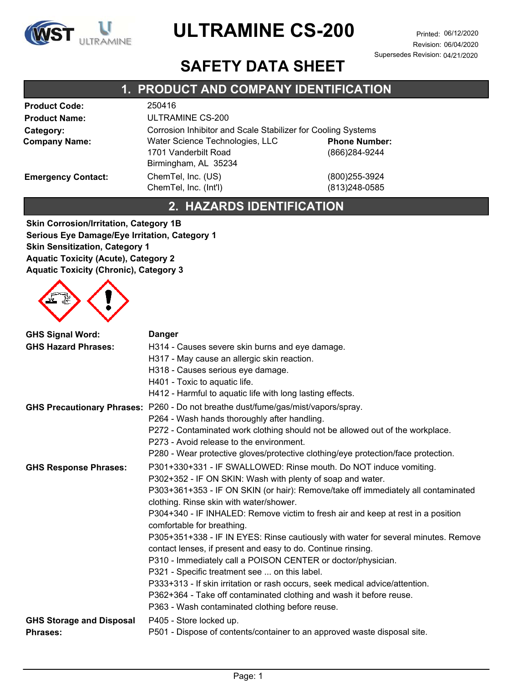

Revision: 06/04/2020 Supersedes Revision: 04/21/2020

### **SAFETY DATA SHEET**

#### **Product Code:** 250416 **Product Name:** ULTRAMINE CS-200 **Category:** Corrosion Inhibitor and Scale Stabilizer for Cooling Systems **Company Name:** Water Science Technologies, LLC 1701 Vanderbilt Road Birmingham, AL 35234 **Emergency Contact:** ChemTel, Inc. (US) (800)255-3924 ChemTel, Inc. (Int'l) (813)248-0585 (866)284-9244 **Phone Number: 1. PRODUCT AND COMPANY IDENTIFICATION**

#### **2. HAZARDS IDENTIFICATION**

**Skin Corrosion/Irritation, Category 1B Serious Eye Damage/Eye Irritation, Category 1 Skin Sensitization, Category 1 Aquatic Toxicity (Acute), Category 2 Aquatic Toxicity (Chronic), Category 3**



| <b>GHS Signal Word:</b><br><b>GHS Hazard Phrases:</b> | <b>Danger</b><br>H314 - Causes severe skin burns and eye damage.<br>H317 - May cause an allergic skin reaction.<br>H318 - Causes serious eye damage.<br>H401 - Toxic to aquatic life.<br>H412 - Harmful to aquatic life with long lasting effects.                                                                                                                                                                                                                                                                                                                                                                                                                                                                                                                                                                                                                 |
|-------------------------------------------------------|--------------------------------------------------------------------------------------------------------------------------------------------------------------------------------------------------------------------------------------------------------------------------------------------------------------------------------------------------------------------------------------------------------------------------------------------------------------------------------------------------------------------------------------------------------------------------------------------------------------------------------------------------------------------------------------------------------------------------------------------------------------------------------------------------------------------------------------------------------------------|
|                                                       | GHS Precautionary Phrases: P260 - Do not breathe dust/fume/gas/mist/vapors/spray.<br>P264 - Wash hands thoroughly after handling.<br>P272 - Contaminated work clothing should not be allowed out of the workplace.<br>P273 - Avoid release to the environment.<br>P280 - Wear protective gloves/protective clothing/eye protection/face protection.                                                                                                                                                                                                                                                                                                                                                                                                                                                                                                                |
| <b>GHS Response Phrases:</b>                          | P301+330+331 - IF SWALLOWED: Rinse mouth. Do NOT induce vomiting.<br>P302+352 - IF ON SKIN: Wash with plenty of soap and water.<br>P303+361+353 - IF ON SKIN (or hair): Remove/take off immediately all contaminated<br>clothing. Rinse skin with water/shower.<br>P304+340 - IF INHALED: Remove victim to fresh air and keep at rest in a position<br>comfortable for breathing.<br>P305+351+338 - IF IN EYES: Rinse cautiously with water for several minutes. Remove<br>contact lenses, if present and easy to do. Continue rinsing.<br>P310 - Immediately call a POISON CENTER or doctor/physician.<br>P321 - Specific treatment see  on this label.<br>P333+313 - If skin irritation or rash occurs, seek medical advice/attention.<br>P362+364 - Take off contaminated clothing and wash it before reuse.<br>P363 - Wash contaminated clothing before reuse. |
| <b>GHS Storage and Disposal</b><br><b>Phrases:</b>    | P405 - Store locked up.<br>P501 - Dispose of contents/container to an approved waste disposal site.                                                                                                                                                                                                                                                                                                                                                                                                                                                                                                                                                                                                                                                                                                                                                                |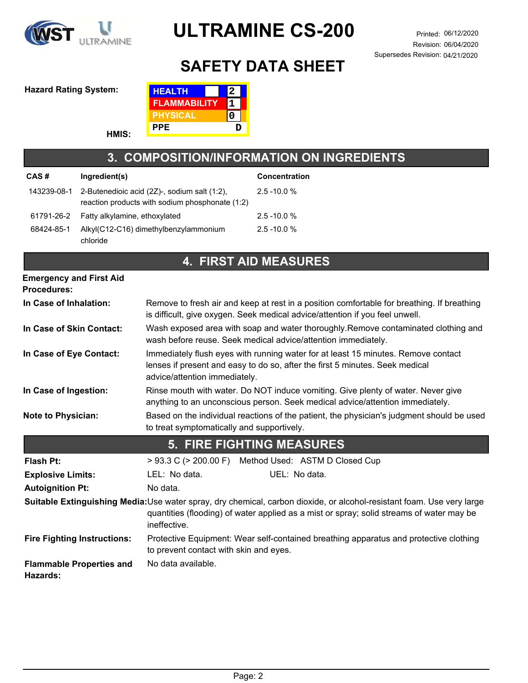

Revision: 06/04/2020 Supersedes Revision: 04/21/2020

## **SAFETY DATA SHEET**

#### **Hazard Rating System: HEALTH**

**HMIS:**



#### **3. COMPOSITION/INFORMATION ON INGREDIENTS**

| CAS#       | Ingredient(s)                                                                                               | <b>Concentration</b> |
|------------|-------------------------------------------------------------------------------------------------------------|----------------------|
|            | 143239-08-1 2-Butenedioic acid (2Z)-, sodium salt (1:2),<br>reaction products with sodium phosphonate (1:2) | $2.5 - 10.0 %$       |
|            | 61791-26-2 Fatty alkylamine, ethoxylated                                                                    | $2.5 - 10.0 %$       |
| 68424-85-1 | Alkyl(C12-C16) dimethylbenzylammonium<br>chloride                                                           | $2.5 - 10.0 %$       |

### **4. FIRST AID MEASURES**

| <b>Emergency and First Aid</b>              |                                                                                                                                                                                                                                   |  |  |
|---------------------------------------------|-----------------------------------------------------------------------------------------------------------------------------------------------------------------------------------------------------------------------------------|--|--|
| <b>Procedures:</b>                          |                                                                                                                                                                                                                                   |  |  |
| In Case of Inhalation:                      | Remove to fresh air and keep at rest in a position comfortable for breathing. If breathing<br>is difficult, give oxygen. Seek medical advice/attention if you feel unwell.                                                        |  |  |
| In Case of Skin Contact:                    | Wash exposed area with soap and water thoroughly.Remove contaminated clothing and<br>wash before reuse. Seek medical advice/attention immediately.                                                                                |  |  |
| In Case of Eye Contact:                     | Immediately flush eyes with running water for at least 15 minutes. Remove contact<br>lenses if present and easy to do so, after the first 5 minutes. Seek medical<br>advice/attention immediately.                                |  |  |
| In Case of Ingestion:                       | Rinse mouth with water. Do NOT induce vomiting. Give plenty of water. Never give<br>anything to an unconscious person. Seek medical advice/attention immediately.                                                                 |  |  |
| <b>Note to Physician:</b>                   | Based on the individual reactions of the patient, the physician's judgment should be used<br>to treat symptomatically and supportively.                                                                                           |  |  |
|                                             | <b>5. FIRE FIGHTING MEASURES</b>                                                                                                                                                                                                  |  |  |
| Flash Pt:                                   | > 93.3 C (> 200.00 F) Method Used: ASTM D Closed Cup                                                                                                                                                                              |  |  |
| <b>Explosive Limits:</b>                    | LEL: No data.<br>UEL: No data.                                                                                                                                                                                                    |  |  |
| <b>Autoignition Pt:</b>                     | No data.                                                                                                                                                                                                                          |  |  |
|                                             | Suitable Extinguishing Media:Use water spray, dry chemical, carbon dioxide, or alcohol-resistant foam. Use very large<br>quantities (flooding) of water applied as a mist or spray; solid streams of water may be<br>ineffective. |  |  |
| <b>Fire Fighting Instructions:</b>          | Protective Equipment: Wear self-contained breathing apparatus and protective clothing<br>to prevent contact with skin and eyes.                                                                                                   |  |  |
| <b>Flammable Properties and</b><br>Hazards: | No data available.                                                                                                                                                                                                                |  |  |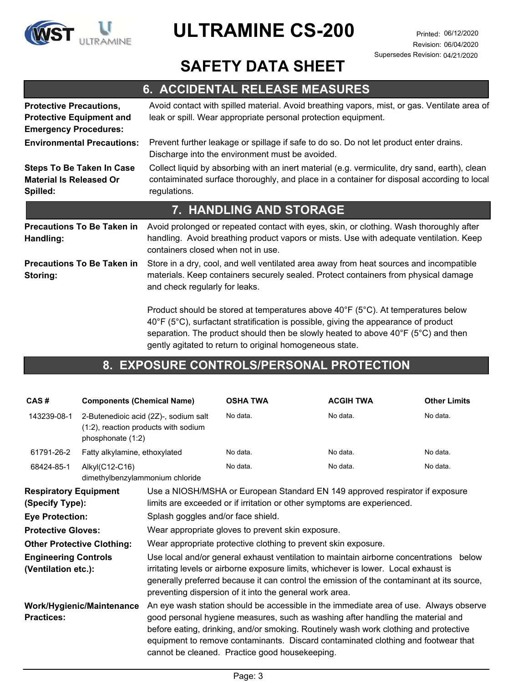

Revision: 06/04/2020 Supersedes Revision: 04/21/2020

### **SAFETY DATA SHEET**

### **6. ACCIDENTAL RELEASE MEASURES**

| <b>Protective Precautions,</b><br><b>Protective Equipment and</b><br><b>Emergency Procedures:</b> | Avoid contact with spilled material. Avoid breathing vapors, mist, or gas. Ventilate area of<br>leak or spill. Wear appropriate personal protection equipment.                                                                                                        |
|---------------------------------------------------------------------------------------------------|-----------------------------------------------------------------------------------------------------------------------------------------------------------------------------------------------------------------------------------------------------------------------|
| <b>Environmental Precautions:</b>                                                                 | Prevent further leakage or spillage if safe to do so. Do not let product enter drains.<br>Discharge into the environment must be avoided.                                                                                                                             |
| <b>Steps To Be Taken In Case</b><br><b>Material Is Released Or</b><br>Spilled:                    | Collect liquid by absorbing with an inert material (e.g. vermiculite, dry sand, earth), clean<br>contaiminated surface thoroughly, and place in a container for disposal according to local<br>regulations.                                                           |
|                                                                                                   | 7. HANDLING AND STORAGE                                                                                                                                                                                                                                               |
| <b>Precautions To Be Taken in</b><br>Handling:                                                    | Avoid prolonged or repeated contact with eyes, skin, or clothing. Wash thoroughly after<br>handling. Avoid breathing product vapors or mists. Use with adequate ventilation. Keep<br>containers closed when not in use.                                               |
| <b>Precautions To Be Taken in</b><br>Storing:                                                     | Store in a dry, cool, and well ventilated area away from heat sources and incompatible<br>materials. Keep containers securely sealed. Protect containers from physical damage<br>and check regularly for leaks.                                                       |
|                                                                                                   | Product should be stored at temperatures above 40°F (5°C). At temperatures below<br>40°F (5°C), surfactant stratification is possible, giving the appearance of product<br>separation. The product should then be slowly heated to above $40^{\circ}F$ (5°C) and then |

#### **8. EXPOSURE CONTROLS/PERSONAL PROTECTION**

gently agitated to return to original homogeneous state.

| CAS#                                                                                                                                                                                              | <b>Components (Chemical Name)</b>                                                                  |                                                                                                                                                                                                                                                                                                                                                                                                                                                                                                                                                                                                                                                               | <b>OSHA TWA</b>                                                                                                                                                                                                                                                                                                                                                                                         | <b>ACGIH TWA</b> | <b>Other Limits</b> |
|---------------------------------------------------------------------------------------------------------------------------------------------------------------------------------------------------|----------------------------------------------------------------------------------------------------|---------------------------------------------------------------------------------------------------------------------------------------------------------------------------------------------------------------------------------------------------------------------------------------------------------------------------------------------------------------------------------------------------------------------------------------------------------------------------------------------------------------------------------------------------------------------------------------------------------------------------------------------------------------|---------------------------------------------------------------------------------------------------------------------------------------------------------------------------------------------------------------------------------------------------------------------------------------------------------------------------------------------------------------------------------------------------------|------------------|---------------------|
| 143239-08-1                                                                                                                                                                                       | 2-Butenedioic acid (2Z)-, sodium salt<br>(1:2), reaction products with sodium<br>phosphonate (1:2) |                                                                                                                                                                                                                                                                                                                                                                                                                                                                                                                                                                                                                                                               | No data.                                                                                                                                                                                                                                                                                                                                                                                                | No data.         | No data.            |
| 61791-26-2                                                                                                                                                                                        | Fatty alkylamine, ethoxylated                                                                      |                                                                                                                                                                                                                                                                                                                                                                                                                                                                                                                                                                                                                                                               | No data.                                                                                                                                                                                                                                                                                                                                                                                                | No data.         | No data.            |
| 68424-85-1                                                                                                                                                                                        | Alkyl(C12-C16)<br>dimethylbenzylammonium chloride                                                  |                                                                                                                                                                                                                                                                                                                                                                                                                                                                                                                                                                                                                                                               | No data.                                                                                                                                                                                                                                                                                                                                                                                                | No data.         | No data.            |
| <b>Respiratory Equipment</b><br>(Specify Type):<br><b>Eye Protection:</b><br><b>Protective Gloves:</b><br><b>Other Protective Clothing:</b><br><b>Engineering Controls</b><br>(Ventilation etc.): |                                                                                                    | Use a NIOSH/MSHA or European Standard EN 149 approved respirator if exposure<br>limits are exceeded or if irritation or other symptoms are experienced.<br>Splash goggles and/or face shield.<br>Wear appropriate gloves to prevent skin exposure.<br>Wear appropriate protective clothing to prevent skin exposure.<br>Use local and/or general exhaust ventilation to maintain airborne concentrations below<br>irritating levels or airborne exposure limits, whichever is lower. Local exhaust is<br>generally preferred because it can control the emission of the contaminant at its source,<br>preventing dispersion of it into the general work area. |                                                                                                                                                                                                                                                                                                                                                                                                         |                  |                     |
| <b>Practices:</b>                                                                                                                                                                                 | Work/Hygienic/Maintenance                                                                          |                                                                                                                                                                                                                                                                                                                                                                                                                                                                                                                                                                                                                                                               | An eye wash station should be accessible in the immediate area of use. Always observe<br>good personal hygiene measures, such as washing after handling the material and<br>before eating, drinking, and/or smoking. Routinely wash work clothing and protective<br>equipment to remove contaminants. Discard contaminated clothing and footwear that<br>cannot be cleaned. Practice good housekeeping. |                  |                     |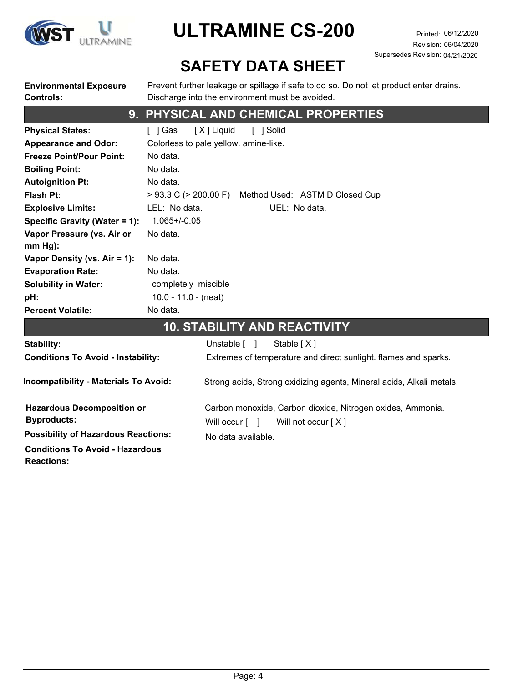

Revision: 06/04/2020 Supersedes Revision: 04/21/2020

## **SAFETY DATA SHEET**

**Environmental Exposure Controls:**

Prevent further leakage or spillage if safe to do so. Do not let product enter drains. Discharge into the environment must be avoided.

### **9. PHYSICAL AND CHEMICAL PROPERTIES**

| <b>Physical States:</b>         | [ X ] Liquid<br>[ ] Solid<br>1 Gas                           |
|---------------------------------|--------------------------------------------------------------|
| <b>Appearance and Odor:</b>     | Colorless to pale yellow. amine-like.                        |
| <b>Freeze Point/Pour Point:</b> | No data.                                                     |
| <b>Boiling Point:</b>           | No data.                                                     |
| <b>Autoignition Pt:</b>         | No data.                                                     |
| <b>Flash Pt:</b>                | $> 93.3$ C ( $> 200.00$ F)<br>Method Used: ASTM D Closed Cup |
| <b>Explosive Limits:</b>        | LEL: No data.<br>UEL: No data.                               |
| Specific Gravity (Water = 1):   | $1.065 + / -0.05$                                            |
| Vapor Pressure (vs. Air or      | No data.                                                     |
| $mm Hg$ :                       |                                                              |
| Vapor Density (vs. Air = 1):    | No data.                                                     |
| <b>Evaporation Rate:</b>        | No data.                                                     |
| <b>Solubility in Water:</b>     | completely miscible                                          |
| pH:                             | 10.0 - 11.0 - (neat)                                         |
| <b>Percent Volatile:</b>        | No data.                                                     |

#### **10. STABILITY AND REACTIVITY**

| Stability:                                              | Unstable [ ]<br>Stable $[X]$                                                                         |
|---------------------------------------------------------|------------------------------------------------------------------------------------------------------|
| <b>Conditions To Avoid - Instability:</b>               | Extremes of temperature and direct sunlight. flames and sparks.                                      |
| <b>Incompatibility - Materials To Avoid:</b>            | Strong acids, Strong oxidizing agents, Mineral acids, Alkali metals.                                 |
| <b>Hazardous Decomposition or</b><br><b>Byproducts:</b> | Carbon monoxide, Carbon dioxide, Nitrogen oxides, Ammonia.<br>Will not occur $[X]$<br>Will occur [ ] |
| <b>Possibility of Hazardous Reactions:</b>              | No data available.                                                                                   |
| <b>Conditions To Avoid - Hazardous</b>                  |                                                                                                      |

**Reactions:**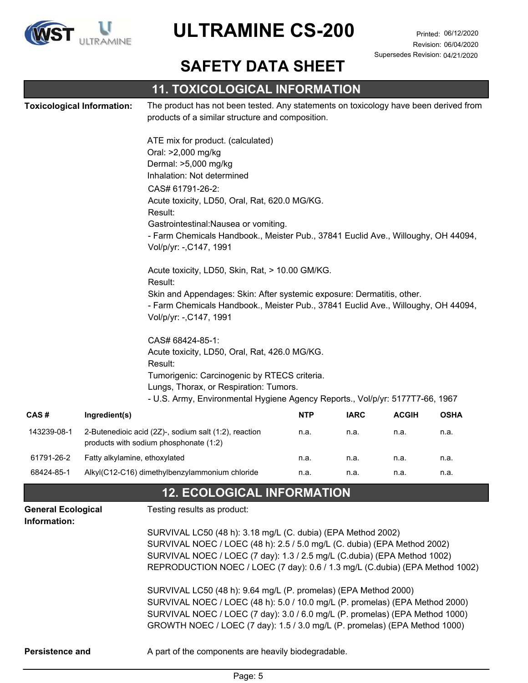

Revision: 06/04/2020 Supersedes Revision: 04/21/2020

### **SAFETY DATA SHEET**

|                                           |                                   | <b>11. TOXICOLOGICAL INFORMATION</b>                                                                                                                                                   |            |             |              |             |
|-------------------------------------------|-----------------------------------|----------------------------------------------------------------------------------------------------------------------------------------------------------------------------------------|------------|-------------|--------------|-------------|
|                                           | <b>Toxicological Information:</b> | The product has not been tested. Any statements on toxicology have been derived from                                                                                                   |            |             |              |             |
|                                           |                                   | products of a similar structure and composition.                                                                                                                                       |            |             |              |             |
|                                           |                                   | ATE mix for product. (calculated)                                                                                                                                                      |            |             |              |             |
|                                           |                                   | Oral: >2,000 mg/kg                                                                                                                                                                     |            |             |              |             |
|                                           |                                   | Dermal: >5,000 mg/kg                                                                                                                                                                   |            |             |              |             |
|                                           |                                   | Inhalation: Not determined                                                                                                                                                             |            |             |              |             |
|                                           |                                   | CAS# 61791-26-2:                                                                                                                                                                       |            |             |              |             |
|                                           |                                   | Acute toxicity, LD50, Oral, Rat, 620.0 MG/KG.                                                                                                                                          |            |             |              |             |
|                                           |                                   | Result:                                                                                                                                                                                |            |             |              |             |
|                                           |                                   | Gastrointestinal: Nausea or vomiting.<br>- Farm Chemicals Handbook., Meister Pub., 37841 Euclid Ave., Willoughy, OH 44094,                                                             |            |             |              |             |
|                                           |                                   | Vol/p/yr: -, C147, 1991                                                                                                                                                                |            |             |              |             |
|                                           |                                   | Acute toxicity, LD50, Skin, Rat, > 10.00 GM/KG.<br>Result:                                                                                                                             |            |             |              |             |
|                                           |                                   | Skin and Appendages: Skin: After systemic exposure: Dermatitis, other.<br>- Farm Chemicals Handbook., Meister Pub., 37841 Euclid Ave., Willoughy, OH 44094,<br>Vol/p/yr: -, C147, 1991 |            |             |              |             |
|                                           |                                   | CAS# 68424-85-1:<br>Acute toxicity, LD50, Oral, Rat, 426.0 MG/KG.<br>Result:                                                                                                           |            |             |              |             |
|                                           |                                   | Tumorigenic: Carcinogenic by RTECS criteria.<br>Lungs, Thorax, or Respiration: Tumors.<br>- U.S. Army, Environmental Hygiene Agency Reports., Vol/p/yr: 5177T7-66, 1967                |            |             |              |             |
| CAS#                                      | Ingredient(s)                     |                                                                                                                                                                                        | <b>NTP</b> | <b>IARC</b> | <b>ACGIH</b> | <b>OSHA</b> |
| 143239-08-1                               |                                   | 2-Butenedioic acid (2Z)-, sodium salt (1:2), reaction<br>products with sodium phosphonate (1:2)                                                                                        | n.a.       | n.a.        | n.a.         | n.a.        |
| 61791-26-2                                | Fatty alkylamine, ethoxylated     |                                                                                                                                                                                        | n.a.       | n.a.        | n.a.         | n.a.        |
| 68424-85-1                                |                                   | Alkyl(C12-C16) dimethylbenzylammonium chloride                                                                                                                                         | n.a.       | n.a.        | n.a.         | n.a.        |
|                                           |                                   | <b>12. ECOLOGICAL INFORMATION</b>                                                                                                                                                      |            |             |              |             |
| <b>General Ecological</b><br>Information: |                                   | Testing results as product:                                                                                                                                                            |            |             |              |             |
|                                           |                                   | SURVIVAL LC50 (48 h): 3.18 mg/L (C. dubia) (EPA Method 2002)                                                                                                                           |            |             |              |             |
|                                           |                                   | SURVIVAL NOEC / LOEC (48 h): 2.5 / 5.0 mg/L (C. dubia) (EPA Method 2002)                                                                                                               |            |             |              |             |
|                                           |                                   | SURVIVAL NOEC / LOEC (7 day): 1.3 / 2.5 mg/L (C.dubia) (EPA Method 1002)                                                                                                               |            |             |              |             |
|                                           |                                   | REPRODUCTION NOEC / LOEC (7 day): 0.6 / 1.3 mg/L (C.dubia) (EPA Method 1002)                                                                                                           |            |             |              |             |
|                                           |                                   | SURVIVAL LC50 (48 h): 9.64 mg/L (P. promelas) (EPA Method 2000)                                                                                                                        |            |             |              |             |
|                                           |                                   | SURVIVAL NOEC / LOEC (48 h): 5.0 / 10.0 mg/L (P. promelas) (EPA Method 2000)                                                                                                           |            |             |              |             |
|                                           |                                   | SURVIVAL NOEC / LOEC (7 day): 3.0 / 6.0 mg/L (P. promelas) (EPA Method 1000)                                                                                                           |            |             |              |             |
|                                           |                                   | GROWTH NOEC / LOEC (7 day): 1.5 / 3.0 mg/L (P. promelas) (EPA Method 1000)                                                                                                             |            |             |              |             |
| Persistence and                           |                                   | A part of the components are heavily biodegradable.                                                                                                                                    |            |             |              |             |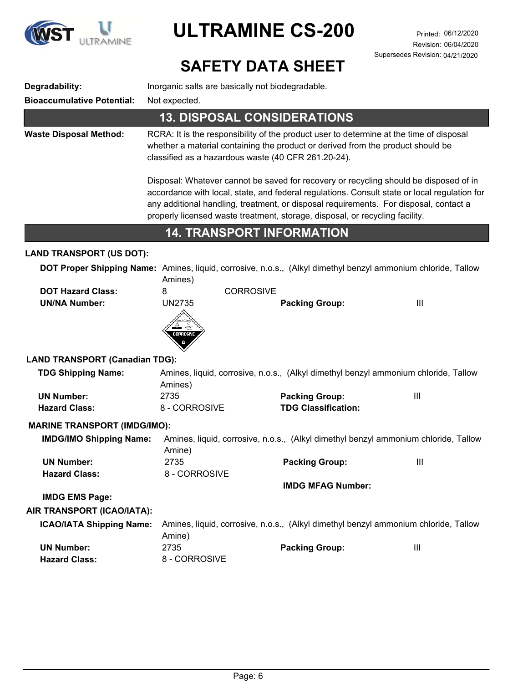

Revision: 06/04/2020 Supersedes Revision: 04/21/2020

## **SAFETY DATA SHEET**

| Degradability:<br><b>Bioaccumulative Potential:</b> | Inorganic salts are basically not biodegradable.<br>Not expected. |                                                                                                                                                                                                                                                                                                                                                                |                |  |
|-----------------------------------------------------|-------------------------------------------------------------------|----------------------------------------------------------------------------------------------------------------------------------------------------------------------------------------------------------------------------------------------------------------------------------------------------------------------------------------------------------------|----------------|--|
|                                                     | <b>13. DISPOSAL CONSIDERATIONS</b>                                |                                                                                                                                                                                                                                                                                                                                                                |                |  |
| <b>Waste Disposal Method:</b>                       |                                                                   | RCRA: It is the responsibility of the product user to determine at the time of disposal<br>whether a material containing the product or derived from the product should be<br>classified as a hazardous waste (40 CFR 261.20-24).                                                                                                                              |                |  |
|                                                     |                                                                   | Disposal: Whatever cannot be saved for recovery or recycling should be disposed of in<br>accordance with local, state, and federal regulations. Consult state or local regulation for<br>any additional handling, treatment, or disposal requirements. For disposal, contact a<br>properly licensed waste treatment, storage, disposal, or recycling facility. |                |  |
|                                                     | <b>14. TRANSPORT INFORMATION</b>                                  |                                                                                                                                                                                                                                                                                                                                                                |                |  |
| <b>LAND TRANSPORT (US DOT):</b>                     |                                                                   |                                                                                                                                                                                                                                                                                                                                                                |                |  |
|                                                     | Amines)                                                           | DOT Proper Shipping Name: Amines, liquid, corrosive, n.o.s., (Alkyl dimethyl benzyl ammonium chloride, Tallow                                                                                                                                                                                                                                                  |                |  |
| <b>DOT Hazard Class:</b><br><b>UN/NA Number:</b>    | <b>CORROSIVE</b><br>8<br><b>UN2735</b><br>혼<br>CORROSIVE          | <b>Packing Group:</b>                                                                                                                                                                                                                                                                                                                                          | $\mathbf{III}$ |  |
| <b>LAND TRANSPORT (Canadian TDG):</b>               |                                                                   |                                                                                                                                                                                                                                                                                                                                                                |                |  |
| <b>TDG Shipping Name:</b>                           | Amines)                                                           | Amines, liquid, corrosive, n.o.s., (Alkyl dimethyl benzyl ammonium chloride, Tallow                                                                                                                                                                                                                                                                            |                |  |
| <b>UN Number:</b><br><b>Hazard Class:</b>           | 2735<br>8 - CORROSIVE                                             | <b>Packing Group:</b><br><b>TDG Classification:</b>                                                                                                                                                                                                                                                                                                            | Ш              |  |
| <b>MARINE TRANSPORT (IMDG/IMO):</b>                 |                                                                   |                                                                                                                                                                                                                                                                                                                                                                |                |  |
| <b>IMDG/IMO Shipping Name:</b>                      | Amine)                                                            | Amines, liquid, corrosive, n.o.s., (Alkyl dimethyl benzyl ammonium chloride, Tallow                                                                                                                                                                                                                                                                            |                |  |
| <b>UN Number:</b><br><b>Hazard Class:</b>           | 2735<br>8 - CORROSIVE                                             | <b>Packing Group:</b>                                                                                                                                                                                                                                                                                                                                          | Ш              |  |
|                                                     |                                                                   | <b>IMDG MFAG Number:</b>                                                                                                                                                                                                                                                                                                                                       |                |  |
| <b>IMDG EMS Page:</b><br>AIR TRANSPORT (ICAO/IATA): |                                                                   |                                                                                                                                                                                                                                                                                                                                                                |                |  |
| <b>ICAO/IATA Shipping Name:</b>                     | Amine)                                                            | Amines, liquid, corrosive, n.o.s., (Alkyl dimethyl benzyl ammonium chloride, Tallow                                                                                                                                                                                                                                                                            |                |  |
| <b>UN Number:</b><br><b>Hazard Class:</b>           | 2735<br>8 - CORROSIVE                                             | <b>Packing Group:</b>                                                                                                                                                                                                                                                                                                                                          | Ш              |  |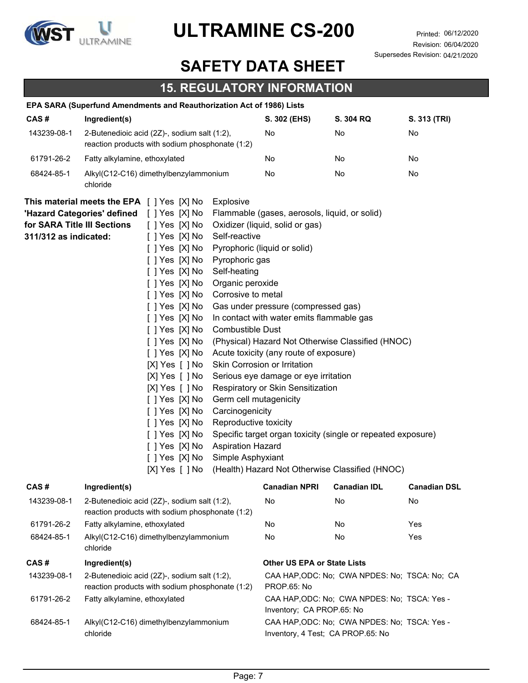

### **SAFETY DATA SHEET**

### **15. REGULATORY INFORMATION**

|                                                      | EPA SARA (Superfund Amendments and Reauthorization Act of 1986) Lists                                                                                                                                                                                                                                                                                                                                                                                                                                                                                                                                                                                                                                                                                            |                                                                                                                                                                                                                                                                                                                                                             |                                                                                                                                                                      |              |
|------------------------------------------------------|------------------------------------------------------------------------------------------------------------------------------------------------------------------------------------------------------------------------------------------------------------------------------------------------------------------------------------------------------------------------------------------------------------------------------------------------------------------------------------------------------------------------------------------------------------------------------------------------------------------------------------------------------------------------------------------------------------------------------------------------------------------|-------------------------------------------------------------------------------------------------------------------------------------------------------------------------------------------------------------------------------------------------------------------------------------------------------------------------------------------------------------|----------------------------------------------------------------------------------------------------------------------------------------------------------------------|--------------|
| CAS#                                                 | Ingredient(s)                                                                                                                                                                                                                                                                                                                                                                                                                                                                                                                                                                                                                                                                                                                                                    | S. 302 (EHS)                                                                                                                                                                                                                                                                                                                                                | S. 304 RQ                                                                                                                                                            | S. 313 (TRI) |
| 143239-08-1                                          | 2-Butenedioic acid (2Z)-, sodium salt (1:2),<br>reaction products with sodium phosphonate (1:2)                                                                                                                                                                                                                                                                                                                                                                                                                                                                                                                                                                                                                                                                  | No                                                                                                                                                                                                                                                                                                                                                          | No                                                                                                                                                                   | No           |
| 61791-26-2                                           | Fatty alkylamine, ethoxylated                                                                                                                                                                                                                                                                                                                                                                                                                                                                                                                                                                                                                                                                                                                                    | No                                                                                                                                                                                                                                                                                                                                                          | No                                                                                                                                                                   | No           |
| 68424-85-1                                           | Alkyl(C12-C16) dimethylbenzylammonium<br>chloride                                                                                                                                                                                                                                                                                                                                                                                                                                                                                                                                                                                                                                                                                                                | No                                                                                                                                                                                                                                                                                                                                                          | No                                                                                                                                                                   | No           |
| for SARA Title III Sections<br>311/312 as indicated: | This material meets the EPA [ ] Yes [X] No<br>Explosive<br>'Hazard Categories' defined [ ] Yes [X] No<br>[ ] Yes [X] No<br>[ ] Yes [X] No<br>Self-reactive<br>[ ] Yes [X] No<br>[ ] Yes [X] No<br>Pyrophoric gas<br>[ ] Yes [X] No<br>Self-heating<br>[ ] Yes [X] No<br>Organic peroxide<br>[ ] Yes [X] No<br>Corrosive to metal<br>[ ] Yes [X] No<br>[ ] Yes [X] No<br>[ ] Yes [X] No<br><b>Combustible Dust</b><br>[ ] Yes [X] No<br>[ ] Yes [X] No<br>[X] Yes [ ] No<br>[X] Yes [ ] No<br>[X] Yes [ ] No<br>[ ] Yes [X] No<br>Germ cell mutagenicity<br>[ ] Yes [X] No<br>Carcinogenicity<br>[ ] Yes [X] No<br>Reproductive toxicity<br>[ ] Yes [X] No<br>[ ] Yes [X] No<br><b>Aspiration Hazard</b><br>[ ] Yes [X] No<br>Simple Asphyxiant<br>[X] Yes [ ] No | Flammable (gases, aerosols, liquid, or solid)<br>Oxidizer (liquid, solid or gas)<br>Pyrophoric (liquid or solid)<br>Gas under pressure (compressed gas)<br>In contact with water emits flammable gas<br>Acute toxicity (any route of exposure)<br>Skin Corrosion or Irritation<br>Serious eye damage or eye irritation<br>Respiratory or Skin Sensitization | (Physical) Hazard Not Otherwise Classified (HNOC)<br>Specific target organ toxicity (single or repeated exposure)<br>(Health) Hazard Not Otherwise Classified (HNOC) |              |
| CAS#                                                 | Ingredient(s)                                                                                                                                                                                                                                                                                                                                                                                                                                                                                                                                                                                                                                                                                                                                                    |                                                                                                                                                                                                                                                                                                                                                             | Canadian NPRI Canadian IDL Canadian DSL                                                                                                                              |              |
| 143239-08-1                                          | 2-Butenedioic acid (2Z)-, sodium salt (1:2),<br>reaction products with sodium phosphonate (1:2)                                                                                                                                                                                                                                                                                                                                                                                                                                                                                                                                                                                                                                                                  | No                                                                                                                                                                                                                                                                                                                                                          | No.                                                                                                                                                                  | No           |
| 61791-26-2                                           | Fatty alkylamine, ethoxylated                                                                                                                                                                                                                                                                                                                                                                                                                                                                                                                                                                                                                                                                                                                                    | No                                                                                                                                                                                                                                                                                                                                                          | No                                                                                                                                                                   | Yes          |
| 68424-85-1                                           | Alkyl(C12-C16) dimethylbenzylammonium<br>chloride                                                                                                                                                                                                                                                                                                                                                                                                                                                                                                                                                                                                                                                                                                                | No                                                                                                                                                                                                                                                                                                                                                          | No                                                                                                                                                                   | Yes          |
| CAS#                                                 | Ingredient(s)                                                                                                                                                                                                                                                                                                                                                                                                                                                                                                                                                                                                                                                                                                                                                    | <b>Other US EPA or State Lists</b>                                                                                                                                                                                                                                                                                                                          |                                                                                                                                                                      |              |
| 143239-08-1                                          | 2-Butenedioic acid (2Z)-, sodium salt (1:2),<br>reaction products with sodium phosphonate (1:2)                                                                                                                                                                                                                                                                                                                                                                                                                                                                                                                                                                                                                                                                  | PROP.65: No                                                                                                                                                                                                                                                                                                                                                 | CAA HAP, ODC: No; CWA NPDES: No; TSCA: No; CA                                                                                                                        |              |
| 61791-26-2                                           | Fatty alkylamine, ethoxylated                                                                                                                                                                                                                                                                                                                                                                                                                                                                                                                                                                                                                                                                                                                                    | Inventory; CA PROP.65: No                                                                                                                                                                                                                                                                                                                                   | CAA HAP, ODC: No; CWA NPDES: No; TSCA: Yes -                                                                                                                         |              |
| 68424-85-1                                           | Alkyl(C12-C16) dimethylbenzylammonium<br>chloride                                                                                                                                                                                                                                                                                                                                                                                                                                                                                                                                                                                                                                                                                                                | Inventory, 4 Test; CA PROP.65: No                                                                                                                                                                                                                                                                                                                           | CAA HAP, ODC: No; CWA NPDES: No; TSCA: Yes -                                                                                                                         |              |